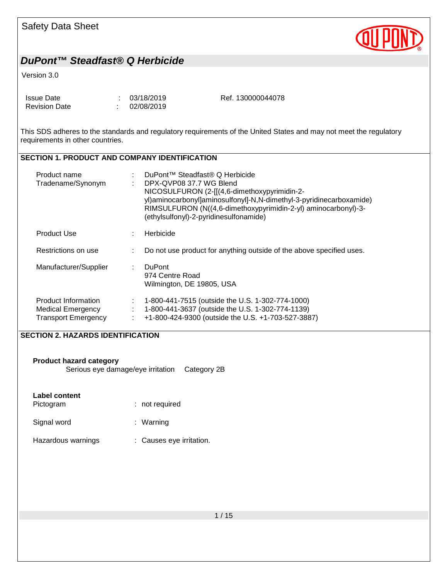

#### Version 3.0

| Issue Date           | : 03/18/2019 | Ref. 130000044078 |
|----------------------|--------------|-------------------|
| <b>Revision Date</b> | : 02/08/2019 |                   |

This SDS adheres to the standards and regulatory requirements of the United States and may not meet the regulatory requirements in other countries.

#### **SECTION 1. PRODUCT AND COMPANY IDENTIFICATION**

| Product name<br>Tradename/Synonym                                             |   | DuPont <sup>™</sup> Steadfast® Q Herbicide<br>DPX-QVP08 37.7 WG Blend<br>NICOSULFURON (2-[[(4,6-dimethoxypyrimidin-2-<br>yl)aminocarbonyl]aminosulfonyl]-N,N-dimethyl-3-pyridinecarboxamide)<br>RIMSULFURON (N((4,6-dimethoxypyrimidin-2-yl) aminocarbonyl)-3-<br>(ethylsulfonyl)-2-pyridinesulfonamide) |
|-------------------------------------------------------------------------------|---|----------------------------------------------------------------------------------------------------------------------------------------------------------------------------------------------------------------------------------------------------------------------------------------------------------|
| <b>Product Use</b>                                                            | ÷ | Herbicide                                                                                                                                                                                                                                                                                                |
| Restrictions on use                                                           |   | Do not use product for anything outside of the above specified uses.                                                                                                                                                                                                                                     |
| Manufacturer/Supplier                                                         |   | <b>DuPont</b><br>974 Centre Road<br>Wilmington, DE 19805, USA                                                                                                                                                                                                                                            |
| Product Information<br><b>Medical Emergency</b><br><b>Transport Emergency</b> | ÷ | 1-800-441-7515 (outside the U.S. 1-302-774-1000)<br>1-800-441-3637 (outside the U.S. 1-302-774-1139)<br>+1-800-424-9300 (outside the U.S. +1-703-527-3887)                                                                                                                                               |

## **SECTION 2. HAZARDS IDENTIFICATION**

**Product hazard category**

Serious eye damage/eye irritation Category 2B

#### **Label content**

| Pictogram   | $:$ not required |
|-------------|------------------|
| Signal word | : Warning        |

Hazardous warnings : Causes eye irritation.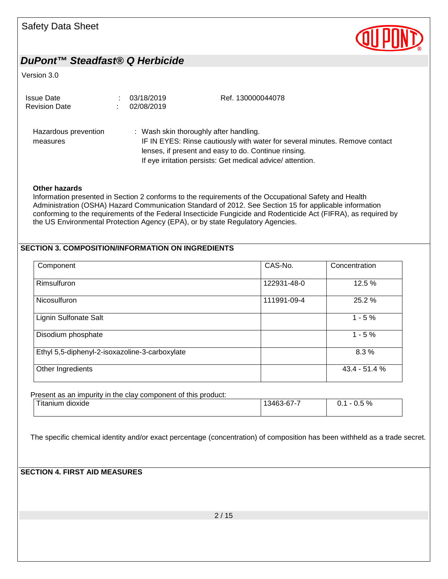

Version 3.0

| <b>Issue Date</b><br><b>Revision Date</b> | 03/18/2019<br>02/08/2019               | Ref. 130000044078                                                                                                                                                                                |
|-------------------------------------------|----------------------------------------|--------------------------------------------------------------------------------------------------------------------------------------------------------------------------------------------------|
| Hazardous prevention<br>measures          | : Wash skin thoroughly after handling. | IF IN EYES: Rinse cautiously with water for several minutes. Remove contact<br>lenses, if present and easy to do. Continue rinsing.<br>If eye irritation persists: Get medical advice/attention. |

#### **Other hazards**

Information presented in Section 2 conforms to the requirements of the Occupational Safety and Health Administration (OSHA) Hazard Communication Standard of 2012. See Section 15 for applicable information conforming to the requirements of the Federal Insecticide Fungicide and Rodenticide Act (FIFRA), as required by the US Environmental Protection Agency (EPA), or by state Regulatory Agencies.

## **SECTION 3. COMPOSITION/INFORMATION ON INGREDIENTS**

| Component                                      | CAS-No.     | Concentration |
|------------------------------------------------|-------------|---------------|
| Rimsulfuron                                    | 122931-48-0 | 12.5 %        |
| <b>Nicosulfuron</b>                            | 111991-09-4 | 25.2 %        |
| Lignin Sulfonate Salt                          |             | $1 - 5%$      |
| Disodium phosphate                             |             | $1 - 5%$      |
| Ethyl 5,5-diphenyl-2-isoxazoline-3-carboxylate |             | 8.3%          |
| Other Ingredients                              |             | 43.4 - 51.4 % |

Present as an impurity in the clay component of this product:

| <b>Titanium</b><br>dioxide | 13463-67-7 | ገ.5 % |
|----------------------------|------------|-------|
|                            |            |       |

The specific chemical identity and/or exact percentage (concentration) of composition has been withheld as a trade secret.

## **SECTION 4. FIRST AID MEASURES**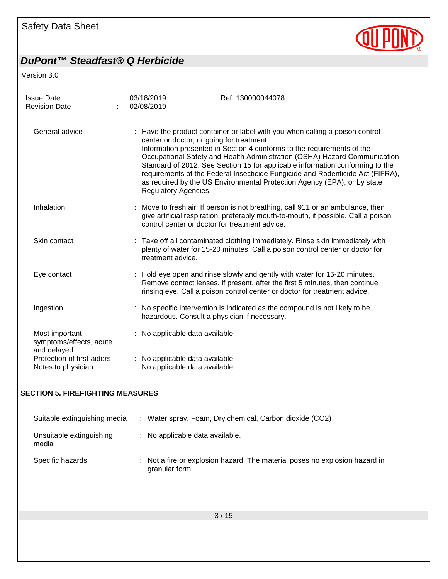

Version 3.0

| <b>Issue Date</b><br><b>Revision Date</b>                | 03/18/2019<br>02/08/2019 | Ref. 130000044078                                                                                                                                                                                                                                                                                                                                                                                                                                                                                                               |
|----------------------------------------------------------|--------------------------|---------------------------------------------------------------------------------------------------------------------------------------------------------------------------------------------------------------------------------------------------------------------------------------------------------------------------------------------------------------------------------------------------------------------------------------------------------------------------------------------------------------------------------|
| General advice                                           | Regulatory Agencies.     | : Have the product container or label with you when calling a poison control<br>center or doctor, or going for treatment.<br>Information presented in Section 4 conforms to the requirements of the<br>Occupational Safety and Health Administration (OSHA) Hazard Communication<br>Standard of 2012. See Section 15 for applicable information conforming to the<br>requirements of the Federal Insecticide Fungicide and Rodenticide Act (FIFRA),<br>as required by the US Environmental Protection Agency (EPA), or by state |
| Inhalation                                               |                          | Move to fresh air. If person is not breathing, call 911 or an ambulance, then<br>give artificial respiration, preferably mouth-to-mouth, if possible. Call a poison<br>control center or doctor for treatment advice.                                                                                                                                                                                                                                                                                                           |
| Skin contact                                             | treatment advice.        | : Take off all contaminated clothing immediately. Rinse skin immediately with<br>plenty of water for 15-20 minutes. Call a poison control center or doctor for                                                                                                                                                                                                                                                                                                                                                                  |
| Eye contact                                              |                          | : Hold eye open and rinse slowly and gently with water for 15-20 minutes.<br>Remove contact lenses, if present, after the first 5 minutes, then continue<br>rinsing eye. Call a poison control center or doctor for treatment advice.                                                                                                                                                                                                                                                                                           |
| Ingestion                                                |                          | : No specific intervention is indicated as the compound is not likely to be<br>hazardous. Consult a physician if necessary.                                                                                                                                                                                                                                                                                                                                                                                                     |
| Most important<br>symptoms/effects, acute<br>and delayed |                          | No applicable data available.                                                                                                                                                                                                                                                                                                                                                                                                                                                                                                   |
| Protection of first-aiders<br>Notes to physician         |                          | No applicable data available.<br>No applicable data available.                                                                                                                                                                                                                                                                                                                                                                                                                                                                  |

#### **SECTION 5. FIREFIGHTING MEASURES**

| Suitable extinguishing media      | : Water spray, Foam, Dry chemical, Carbon dioxide (CO2)                                       |
|-----------------------------------|-----------------------------------------------------------------------------------------------|
| Unsuitable extinguishing<br>media | : No applicable data available.                                                               |
| Specific hazards                  | : Not a fire or explosion hazard. The material poses no explosion hazard in<br>granular form. |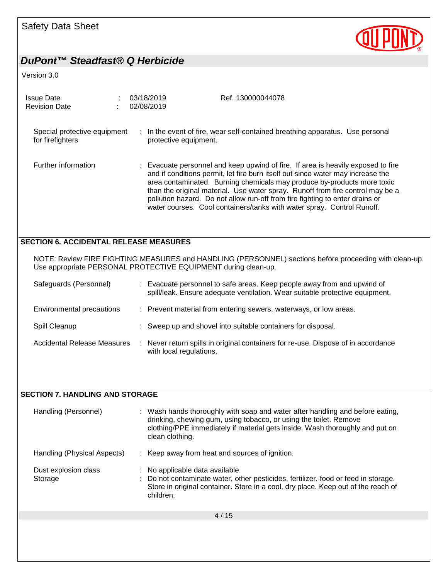

Version 3.0

| <b>Issue Date</b><br><b>Revision Date</b>        |  | 03/18/2019<br>Ref. 130000044078<br>02/08/2019                                                                                                                                                                                                                                                                                                                                                                                                                                              |
|--------------------------------------------------|--|--------------------------------------------------------------------------------------------------------------------------------------------------------------------------------------------------------------------------------------------------------------------------------------------------------------------------------------------------------------------------------------------------------------------------------------------------------------------------------------------|
| Special protective equipment<br>for firefighters |  | : In the event of fire, wear self-contained breathing apparatus. Use personal<br>protective equipment.                                                                                                                                                                                                                                                                                                                                                                                     |
| Further information                              |  | : Evacuate personnel and keep upwind of fire. If area is heavily exposed to fire<br>and if conditions permit, let fire burn itself out since water may increase the<br>area contaminated. Burning chemicals may produce by-products more toxic<br>than the original material. Use water spray. Runoff from fire control may be a<br>pollution hazard. Do not allow run-off from fire fighting to enter drains or<br>water courses. Cool containers/tanks with water spray. Control Runoff. |
| <b>SECTION 6. ACCIDENTAL RELEASE MEASURES</b>    |  |                                                                                                                                                                                                                                                                                                                                                                                                                                                                                            |
|                                                  |  | NOTE: Review FIRE FIGHTING MEASURES and HANDLING (PERSONNEL) sections before proceeding with clean-up.<br>Use appropriate PERSONAL PROTECTIVE EQUIPMENT during clean-up.                                                                                                                                                                                                                                                                                                                   |
| Safeguards (Personnel)                           |  | : Evacuate personnel to safe areas. Keep people away from and upwind of<br>spill/leak. Ensure adequate ventilation. Wear suitable protective equipment.                                                                                                                                                                                                                                                                                                                                    |
| Environmental precautions                        |  | : Prevent material from entering sewers, waterways, or low areas.                                                                                                                                                                                                                                                                                                                                                                                                                          |
|                                                  |  |                                                                                                                                                                                                                                                                                                                                                                                                                                                                                            |
| Spill Cleanup                                    |  | : Sweep up and shovel into suitable containers for disposal.                                                                                                                                                                                                                                                                                                                                                                                                                               |
| Accidental Release Measures                      |  | : Never return spills in original containers for re-use. Dispose of in accordance<br>with local regulations.                                                                                                                                                                                                                                                                                                                                                                               |

#### **SECTION 7. HANDLING AND STORAGE**

| Handling (Personnel)            | : Wash hands thoroughly with soap and water after handling and before eating,<br>drinking, chewing gum, using tobacco, or using the toilet. Remove<br>clothing/PPE immediately if material gets inside. Wash thoroughly and put on<br>clean clothing. |
|---------------------------------|-------------------------------------------------------------------------------------------------------------------------------------------------------------------------------------------------------------------------------------------------------|
| Handling (Physical Aspects)     | : Keep away from heat and sources of ignition.                                                                                                                                                                                                        |
| Dust explosion class<br>Storage | : No applicable data available.<br>Do not contaminate water, other pesticides, fertilizer, food or feed in storage.<br>Store in original container. Store in a cool, dry place. Keep out of the reach of<br>children.                                 |
|                                 | 4/15                                                                                                                                                                                                                                                  |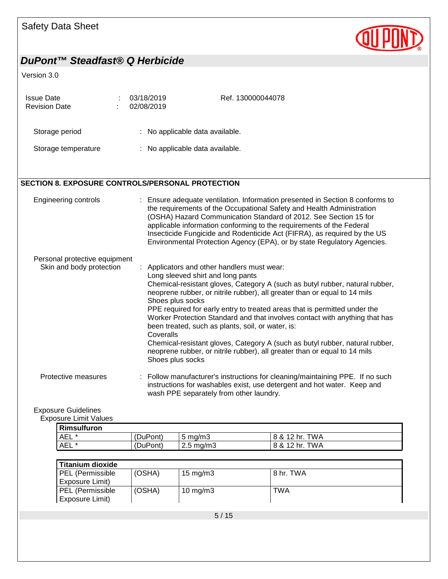

#### Version 3.0

| <b>Issue Date</b><br><b>Revision Date</b> | ٠ | 03/18/2019<br>02/08/2019        | Ref. 130000044078 |  |
|-------------------------------------------|---|---------------------------------|-------------------|--|
| Storage period                            |   | : No applicable data available. |                   |  |
| Storage temperature                       |   | : No applicable data available. |                   |  |

## **SECTION 8. EXPOSURE CONTROLS/PERSONAL PROTECTION**

| Engineering controls                                      | : Ensure adequate ventilation. Information presented in Section 8 conforms to<br>the requirements of the Occupational Safety and Health Administration<br>(OSHA) Hazard Communication Standard of 2012. See Section 15 for<br>applicable information conforming to the requirements of the Federal<br>Insecticide Fungicide and Rodenticide Act (FIFRA), as required by the US<br>Environmental Protection Agency (EPA), or by state Regulatory Agencies. |
|-----------------------------------------------------------|-----------------------------------------------------------------------------------------------------------------------------------------------------------------------------------------------------------------------------------------------------------------------------------------------------------------------------------------------------------------------------------------------------------------------------------------------------------|
| Personal protective equipment<br>Skin and body protection | : Applicators and other handlers must wear:                                                                                                                                                                                                                                                                                                                                                                                                               |
|                                                           | Long sleeved shirt and long pants<br>Chemical-resistant gloves, Category A (such as butyl rubber, natural rubber,<br>neoprene rubber, or nitrile rubber), all greater than or equal to 14 mils<br>Shoes plus socks                                                                                                                                                                                                                                        |
|                                                           | PPE required for early entry to treated areas that is permitted under the<br>Worker Protection Standard and that involves contact with anything that has<br>been treated, such as plants, soil, or water, is:<br>Coveralls                                                                                                                                                                                                                                |
|                                                           | Chemical-resistant gloves, Category A (such as butyl rubber, natural rubber,<br>neoprene rubber, or nitrile rubber), all greater than or equal to 14 mils<br>Shoes plus socks                                                                                                                                                                                                                                                                             |
| Protective measures                                       | : Follow manufacturer's instructions for cleaning/maintaining PPE. If no such<br>instructions for washables exist, use detergent and hot water. Keep and<br>wash PPE separately from other laundry.                                                                                                                                                                                                                                                       |

## Exposure Guidelines

Exposure Limit Values

| Rimsulfuron |          |                    |                      |
|-------------|----------|--------------------|----------------------|
| <b>AEL</b>  | (DuPont) | $5 \text{ ma/m}$ 3 | TWA<br>12 hr.<br>8 & |
| <b>AEL</b>  | (DuPont) | $2.5 \text{ mg/m}$ | TWA<br>12 hr.<br>8 & |

| <b>Titanium dioxide</b>             |        |             |           |
|-------------------------------------|--------|-------------|-----------|
| PEL (Permissible                    | (OSHA) | 15 mg/m $3$ | 8 hr. TWA |
| Exposure Limit)                     |        |             |           |
| PEL (Permissible<br>Exposure Limit) | (OSHA) | 10 mg/m $3$ | TWA       |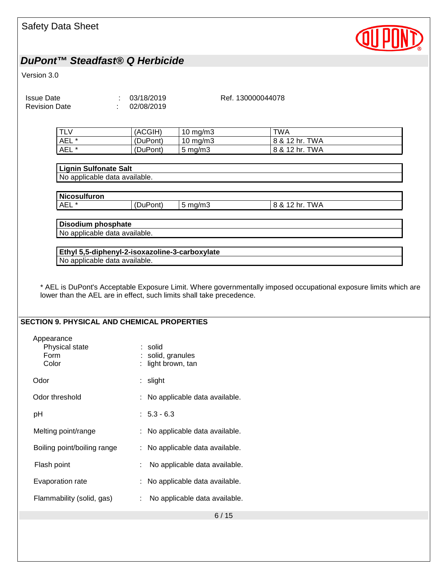| <b>Safety Data Sheet</b>                                                        |                                              |                                           |                                                                                                                  |  |
|---------------------------------------------------------------------------------|----------------------------------------------|-------------------------------------------|------------------------------------------------------------------------------------------------------------------|--|
| DuPont™ Steadfast® Q Herbicide                                                  |                                              |                                           |                                                                                                                  |  |
| Version 3.0                                                                     |                                              |                                           |                                                                                                                  |  |
| <b>Issue Date</b><br><b>Revision Date</b>                                       | : 03/18/2019<br>02/08/2019                   |                                           | Ref. 130000044078                                                                                                |  |
| <b>TLV</b><br>AEL <sup>*</sup><br>AEL*                                          | (ACGIH)<br>(DuPont)<br>(DuPont)              | 10 mg/m3<br>$10$ mg/m $3$<br>$5$ mg/m $3$ | <b>TWA</b><br>8 & 12 hr. TWA<br>8 & 12 hr. TWA                                                                   |  |
| <b>Lignin Sulfonate Salt</b><br>No applicable data available.                   |                                              |                                           |                                                                                                                  |  |
| <b>Nicosulfuron</b><br>AEL <sup>*</sup>                                         | (DuPont)                                     | $5 \text{ mg/m}$ 3                        | 8 & 12 hr. TWA                                                                                                   |  |
|                                                                                 |                                              |                                           |                                                                                                                  |  |
| Disodium phosphate<br>No applicable data available.                             |                                              |                                           |                                                                                                                  |  |
|                                                                                 |                                              |                                           |                                                                                                                  |  |
| Ethyl 5,5-diphenyl-2-isoxazoline-3-carboxylate<br>No applicable data available. |                                              |                                           |                                                                                                                  |  |
| lower than the AEL are in effect, such limits shall take precedence.            |                                              |                                           | * AEL is DuPont's Acceptable Exposure Limit. Where governmentally imposed occupational exposure limits which are |  |
| <b>SECTION 9. PHYSICAL AND CHEMICAL PROPERTIES</b>                              |                                              |                                           |                                                                                                                  |  |
| Appearance<br>Physical state<br>Form<br>Color                                   | solid<br>solid, granules<br>light brown, tan |                                           |                                                                                                                  |  |
| Odor                                                                            | : slight                                     |                                           |                                                                                                                  |  |
| Odor threshold                                                                  |                                              | : No applicable data available.           |                                                                                                                  |  |
| pH                                                                              | $: 5.3 - 6.3$                                |                                           |                                                                                                                  |  |
| Melting point/range                                                             |                                              | : No applicable data available.           |                                                                                                                  |  |
| Boiling point/boiling range                                                     |                                              | : No applicable data available.           |                                                                                                                  |  |
| Flash point                                                                     |                                              | No applicable data available.             |                                                                                                                  |  |
| Evaporation rate                                                                |                                              | No applicable data available.             |                                                                                                                  |  |
| Flammability (solid, gas)                                                       |                                              | No applicable data available.             |                                                                                                                  |  |
|                                                                                 |                                              | 6/15                                      |                                                                                                                  |  |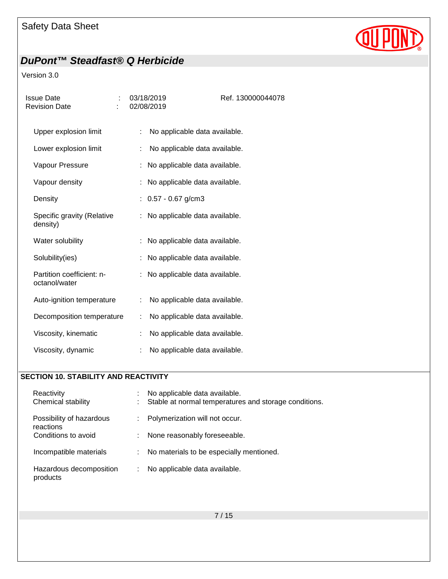

## Version 3.0

| <b>Issue Date</b><br><b>Revision Date</b>  | 03/18/2019<br>02/08/2019        | Ref. 130000044078             |
|--------------------------------------------|---------------------------------|-------------------------------|
| Upper explosion limit                      | t.                              | No applicable data available. |
| Lower explosion limit                      |                                 | No applicable data available. |
| Vapour Pressure                            | : No applicable data available. |                               |
| Vapour density                             |                                 | No applicable data available. |
| Density                                    | $: 0.57 - 0.67$ g/cm3           |                               |
| Specific gravity (Relative<br>density)     |                                 | No applicable data available. |
| Water solubility                           | t.                              | No applicable data available. |
| Solubility(ies)                            |                                 | No applicable data available. |
| Partition coefficient: n-<br>octanol/water | : No applicable data available. |                               |
| Auto-ignition temperature                  | ÷.                              | No applicable data available. |
| Decomposition temperature                  | ÷                               | No applicable data available. |
| Viscosity, kinematic                       |                                 | No applicable data available. |
| Viscosity, dynamic                         | t                               | No applicable data available. |

#### **SECTION 10. STABILITY AND REACTIVITY**

| Reactivity<br>Chemical stability      | No applicable data available.<br>Stable at normal temperatures and storage conditions. |
|---------------------------------------|----------------------------------------------------------------------------------------|
| Possibility of hazardous<br>reactions | Polymerization will not occur.                                                         |
| Conditions to avoid                   | None reasonably foreseeable.                                                           |
| Incompatible materials                | No materials to be especially mentioned.<br>t.                                         |
| Hazardous decomposition<br>products   | No applicable data available.<br>÷.                                                    |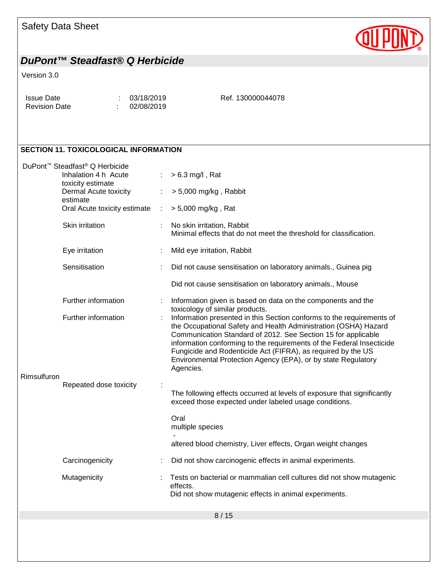# Safety Data Sheet



# *DuPont™ Steadfast® Q Herbicide*

#### Version 3.0

| Issue Date           | : 03/18/2019 | Ref. 130000044078 |
|----------------------|--------------|-------------------|
| <b>Revision Date</b> | : 02/08/2019 |                   |

## **SECTION 11. TOXICOLOGICAL INFORMATION**

|             | DuPont™ Steadfast® Q Herbicide<br>Inhalation 4 h Acute |        | $> 6.3$ mg/l, Rat                                                                                                                                                                                                                                                                                                                                                                                                                |
|-------------|--------------------------------------------------------|--------|----------------------------------------------------------------------------------------------------------------------------------------------------------------------------------------------------------------------------------------------------------------------------------------------------------------------------------------------------------------------------------------------------------------------------------|
|             | toxicity estimate                                      |        |                                                                                                                                                                                                                                                                                                                                                                                                                                  |
|             | Dermal Acute toxicity<br>estimate                      | ÷      | $> 5,000$ mg/kg, Rabbit                                                                                                                                                                                                                                                                                                                                                                                                          |
|             | Oral Acute toxicity estimate                           | $\sim$ | > 5,000 mg/kg, Rat                                                                                                                                                                                                                                                                                                                                                                                                               |
|             | Skin irritation                                        |        | No skin irritation, Rabbit<br>Minimal effects that do not meet the threshold for classification.                                                                                                                                                                                                                                                                                                                                 |
|             | Eye irritation                                         |        | Mild eye irritation, Rabbit                                                                                                                                                                                                                                                                                                                                                                                                      |
|             | Sensitisation                                          |        | Did not cause sensitisation on laboratory animals., Guinea pig                                                                                                                                                                                                                                                                                                                                                                   |
|             |                                                        |        | Did not cause sensitisation on laboratory animals., Mouse                                                                                                                                                                                                                                                                                                                                                                        |
|             | Further information                                    |        | Information given is based on data on the components and the<br>toxicology of similar products.                                                                                                                                                                                                                                                                                                                                  |
| Rimsulfuron | Further information                                    |        | Information presented in this Section conforms to the requirements of<br>the Occupational Safety and Health Administration (OSHA) Hazard<br>Communication Standard of 2012. See Section 15 for applicable<br>information conforming to the requirements of the Federal Insecticide<br>Fungicide and Rodenticide Act (FIFRA), as required by the US<br>Environmental Protection Agency (EPA), or by state Regulatory<br>Agencies. |
|             | Repeated dose toxicity                                 |        |                                                                                                                                                                                                                                                                                                                                                                                                                                  |
|             |                                                        |        | The following effects occurred at levels of exposure that significantly<br>exceed those expected under labeled usage conditions.                                                                                                                                                                                                                                                                                                 |
|             |                                                        |        | Oral<br>multiple species                                                                                                                                                                                                                                                                                                                                                                                                         |
|             |                                                        |        | altered blood chemistry, Liver effects, Organ weight changes                                                                                                                                                                                                                                                                                                                                                                     |
|             | Carcinogenicity                                        |        | Did not show carcinogenic effects in animal experiments.                                                                                                                                                                                                                                                                                                                                                                         |
|             | Mutagenicity                                           |        | Tests on bacterial or mammalian cell cultures did not show mutagenic<br>effects.<br>Did not show mutagenic effects in animal experiments.                                                                                                                                                                                                                                                                                        |
|             |                                                        |        | 8/15                                                                                                                                                                                                                                                                                                                                                                                                                             |
|             |                                                        |        |                                                                                                                                                                                                                                                                                                                                                                                                                                  |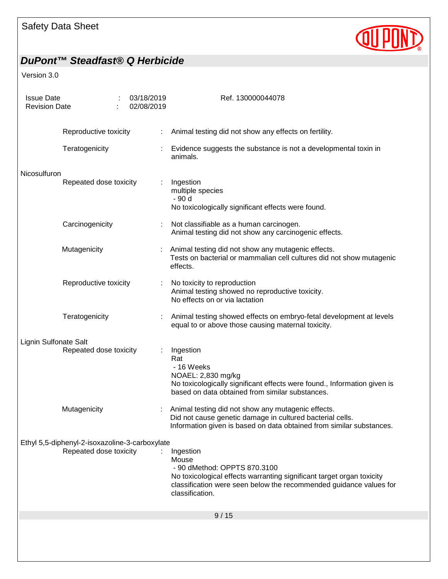

| <b>Issue Date</b><br><b>Revision Date</b> |                                                |  | 03/18/2019<br>02/08/2019 |                                                                                                                           | Ref. 130000044078                                                                                                                                                                                                    |
|-------------------------------------------|------------------------------------------------|--|--------------------------|---------------------------------------------------------------------------------------------------------------------------|----------------------------------------------------------------------------------------------------------------------------------------------------------------------------------------------------------------------|
|                                           | Reproductive toxicity                          |  |                          | ÷.                                                                                                                        | Animal testing did not show any effects on fertility.                                                                                                                                                                |
|                                           | Teratogenicity                                 |  |                          |                                                                                                                           | Evidence suggests the substance is not a developmental toxin in<br>animals.                                                                                                                                          |
| Nicosulfuron                              | Repeated dose toxicity                         |  |                          |                                                                                                                           | Ingestion<br>multiple species<br>- 90 d<br>No toxicologically significant effects were found.                                                                                                                        |
|                                           | Carcinogenicity                                |  |                          |                                                                                                                           | Not classifiable as a human carcinogen.<br>Animal testing did not show any carcinogenic effects.                                                                                                                     |
|                                           | Mutagenicity                                   |  |                          |                                                                                                                           | Animal testing did not show any mutagenic effects.<br>Tests on bacterial or mammalian cell cultures did not show mutagenic<br>effects.                                                                               |
|                                           | Reproductive toxicity                          |  |                          |                                                                                                                           | No toxicity to reproduction<br>Animal testing showed no reproductive toxicity.<br>No effects on or via lactation                                                                                                     |
|                                           | Teratogenicity                                 |  |                          | Animal testing showed effects on embryo-fetal development at levels<br>equal to or above those causing maternal toxicity. |                                                                                                                                                                                                                      |
| Lignin Sulfonate Salt                     | Repeated dose toxicity                         |  |                          |                                                                                                                           | Ingestion<br>Rat<br>- 16 Weeks<br>NOAEL: 2,830 mg/kg<br>No toxicologically significant effects were found., Information given is<br>based on data obtained from similar substances.                                  |
|                                           | Mutagenicity                                   |  |                          |                                                                                                                           | Animal testing did not show any mutagenic effects.<br>Did not cause genetic damage in cultured bacterial cells.<br>Information given is based on data obtained from similar substances.                              |
|                                           | Ethyl 5,5-diphenyl-2-isoxazoline-3-carboxylate |  |                          |                                                                                                                           |                                                                                                                                                                                                                      |
|                                           | Repeated dose toxicity                         |  |                          |                                                                                                                           | Ingestion<br>Mouse<br>- 90 dMethod: OPPTS 870.3100<br>No toxicological effects warranting significant target organ toxicity<br>classification were seen below the recommended guidance values for<br>classification. |
|                                           |                                                |  |                          |                                                                                                                           | 9/15                                                                                                                                                                                                                 |
|                                           |                                                |  |                          |                                                                                                                           |                                                                                                                                                                                                                      |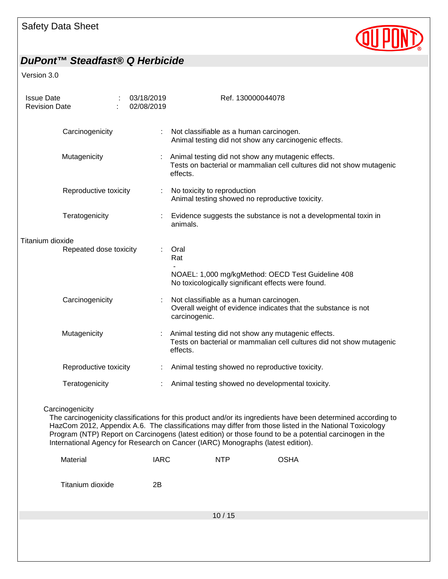

| <b>Issue Date</b><br><b>Revision Date</b> |                        | 03/18/2019<br>02/08/2019 |             | Ref. 130000044078                                                                                                                                                                                                                                                                                                                                                                                                     |
|-------------------------------------------|------------------------|--------------------------|-------------|-----------------------------------------------------------------------------------------------------------------------------------------------------------------------------------------------------------------------------------------------------------------------------------------------------------------------------------------------------------------------------------------------------------------------|
|                                           | Carcinogenicity        |                          |             | Not classifiable as a human carcinogen.<br>Animal testing did not show any carcinogenic effects.                                                                                                                                                                                                                                                                                                                      |
|                                           | Mutagenicity           |                          |             | Animal testing did not show any mutagenic effects.<br>Tests on bacterial or mammalian cell cultures did not show mutagenic<br>effects.                                                                                                                                                                                                                                                                                |
|                                           | Reproductive toxicity  |                          | ÷           | No toxicity to reproduction<br>Animal testing showed no reproductive toxicity.                                                                                                                                                                                                                                                                                                                                        |
|                                           | Teratogenicity         |                          |             | Evidence suggests the substance is not a developmental toxin in<br>animals.                                                                                                                                                                                                                                                                                                                                           |
| Titanium dioxide                          |                        |                          |             |                                                                                                                                                                                                                                                                                                                                                                                                                       |
|                                           | Repeated dose toxicity |                          |             | Oral<br>Rat                                                                                                                                                                                                                                                                                                                                                                                                           |
|                                           |                        |                          |             | NOAEL: 1,000 mg/kgMethod: OECD Test Guideline 408<br>No toxicologically significant effects were found.                                                                                                                                                                                                                                                                                                               |
|                                           | Carcinogenicity        |                          |             | Not classifiable as a human carcinogen.<br>Overall weight of evidence indicates that the substance is not<br>carcinogenic.                                                                                                                                                                                                                                                                                            |
|                                           | Mutagenicity           |                          |             | Animal testing did not show any mutagenic effects.<br>Tests on bacterial or mammalian cell cultures did not show mutagenic<br>effects.                                                                                                                                                                                                                                                                                |
|                                           | Reproductive toxicity  |                          |             | Animal testing showed no reproductive toxicity.                                                                                                                                                                                                                                                                                                                                                                       |
|                                           | Teratogenicity         |                          |             | Animal testing showed no developmental toxicity.                                                                                                                                                                                                                                                                                                                                                                      |
|                                           | Carcinogenicity        |                          |             | The carcinogenicity classifications for this product and/or its ingredients have been determined according to<br>HazCom 2012, Appendix A.6. The classifications may differ from those listed in the National Toxicology<br>Program (NTP) Report on Carcinogens (latest edition) or those found to be a potential carcinogen in the<br>International Agency for Research on Cancer (IARC) Monographs (latest edition). |
|                                           | Material               |                          | <b>IARC</b> | <b>OSHA</b><br><b>NTP</b>                                                                                                                                                                                                                                                                                                                                                                                             |
|                                           | Titanium dioxide       | 2B                       |             |                                                                                                                                                                                                                                                                                                                                                                                                                       |
|                                           |                        |                          |             | 10/15                                                                                                                                                                                                                                                                                                                                                                                                                 |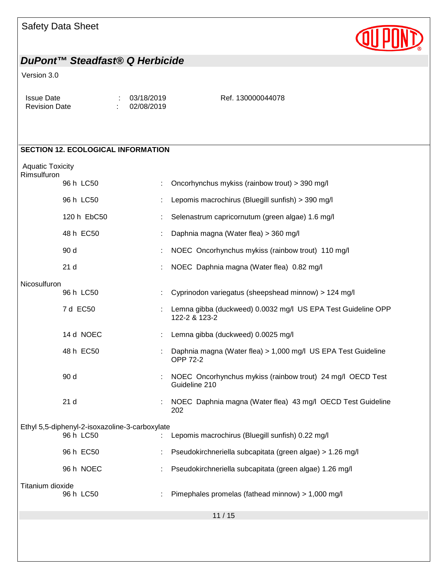## Safety Data Sheet

## *DuPont™ Steadfast® Q Herbicide*

#### Version 3.0

| <b>Issue Date</b><br><b>Revision Date</b> | 03/18/2019<br>02/08/2019 | Ref. 130000044078 |
|-------------------------------------------|--------------------------|-------------------|
|-------------------------------------------|--------------------------|-------------------|

# **SECTION 12. ECOLOGICAL INFORMATION** Aquatic Toxicity **Rimsulfuron** 96 h LC50 : Oncorhynchus mykiss (rainbow trout) > 390 mg/l 96 h LC50 : Lepomis macrochirus (Bluegill sunfish) > 390 mg/l 120 h EbC50 : Selenastrum capricornutum (green algae) 1.6 mg/l 48 h EC50 : Daphnia magna (Water flea) > 360 mg/l 90 d : NOEC Oncorhynchus mykiss (rainbow trout) 110 mg/l 21 d : NOEC Daphnia magna (Water flea) 0.82 mg/l **Nicosulfuron** 96 h LC50 : Cyprinodon variegatus (sheepshead minnow) > 124 mg/l 7 d EC50 : Lemna gibba (duckweed) 0.0032 mg/l US EPA Test Guideline OPP 122-2 & 123-2 14 d NOEC : Lemna gibba (duckweed) 0.0025 mg/l 48 h EC50 : Daphnia magna (Water flea) > 1,000 mg/l US EPA Test Guideline OPP 72-2 90 d : NOEC Oncorhynchus mykiss (rainbow trout) 24 mg/l OECD Test Guideline 210 21 d : NOEC Daphnia magna (Water flea) 43 mg/l OECD Test Guideline 202 Ethyl 5,5-diphenyl-2-isoxazoline-3-carboxylate 96 h LC50 : Lepomis macrochirus (Bluegill sunfish) 0.22 mg/l 96 h EC50 : Pseudokirchneriella subcapitata (green algae) > 1.26 mg/l 96 h NOEC : Pseudokirchneriella subcapitata (green algae) 1.26 mg/l

Titanium dioxide

11 / 15

 $\therefore$  Pimephales promelas (fathead minnow) > 1,000 mg/l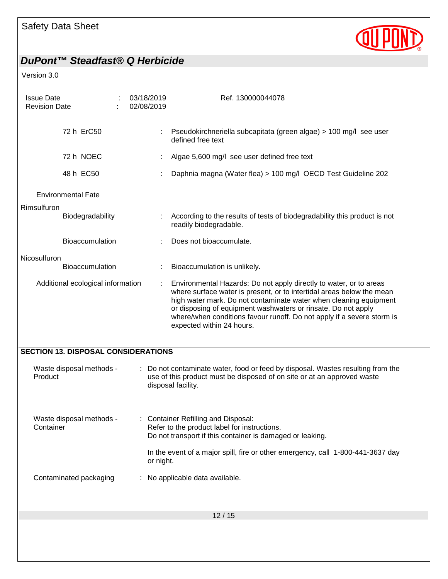

| <b>Issue Date</b><br><b>Revision Date</b> |                                            | 03/18/2019<br>02/08/2019 | Ref. 130000044078                                                                                                                                                                                                                                                                                                                                                                        |
|-------------------------------------------|--------------------------------------------|--------------------------|------------------------------------------------------------------------------------------------------------------------------------------------------------------------------------------------------------------------------------------------------------------------------------------------------------------------------------------------------------------------------------------|
|                                           | 72 h ErC50                                 |                          | Pseudokirchneriella subcapitata (green algae) > 100 mg/l see user<br>defined free text                                                                                                                                                                                                                                                                                                   |
|                                           | 72 h NOEC                                  |                          | Algae 5,600 mg/l see user defined free text                                                                                                                                                                                                                                                                                                                                              |
|                                           | 48 h EC50                                  |                          | Daphnia magna (Water flea) > 100 mg/l OECD Test Guideline 202                                                                                                                                                                                                                                                                                                                            |
|                                           | <b>Environmental Fate</b>                  |                          |                                                                                                                                                                                                                                                                                                                                                                                          |
| Rimsulfuron                               | Biodegradability                           |                          | According to the results of tests of biodegradability this product is not<br>readily biodegradable.                                                                                                                                                                                                                                                                                      |
|                                           | Bioaccumulation                            |                          | Does not bioaccumulate.                                                                                                                                                                                                                                                                                                                                                                  |
| Nicosulfuron                              | <b>Bioaccumulation</b>                     |                          | Bioaccumulation is unlikely.                                                                                                                                                                                                                                                                                                                                                             |
|                                           | Additional ecological information          | $\mathbb{C}^{\times}$    | Environmental Hazards: Do not apply directly to water, or to areas<br>where surface water is present, or to intertidal areas below the mean<br>high water mark. Do not contaminate water when cleaning equipment<br>or disposing of equipment washwaters or rinsate. Do not apply<br>where/when conditions favour runoff. Do not apply if a severe storm is<br>expected within 24 hours. |
|                                           | <b>SECTION 13. DISPOSAL CONSIDERATIONS</b> |                          |                                                                                                                                                                                                                                                                                                                                                                                          |
| Product                                   | Waste disposal methods -                   |                          | Do not contaminate water, food or feed by disposal. Wastes resulting from the<br>use of this product must be disposed of on site or at an approved waste<br>disposal facility.                                                                                                                                                                                                           |
| Container                                 | Waste disposal methods -                   |                          | <b>Container Refilling and Disposal:</b><br>Refer to the product label for instructions.<br>Do not transport if this container is damaged or leaking.<br>In the event of a major spill, fire or other emergency, call 1-800-441-3637 day                                                                                                                                                 |
|                                           | Contaminated packaging                     | or night.                | No applicable data available.                                                                                                                                                                                                                                                                                                                                                            |
|                                           |                                            |                          | 12/15                                                                                                                                                                                                                                                                                                                                                                                    |
|                                           |                                            |                          |                                                                                                                                                                                                                                                                                                                                                                                          |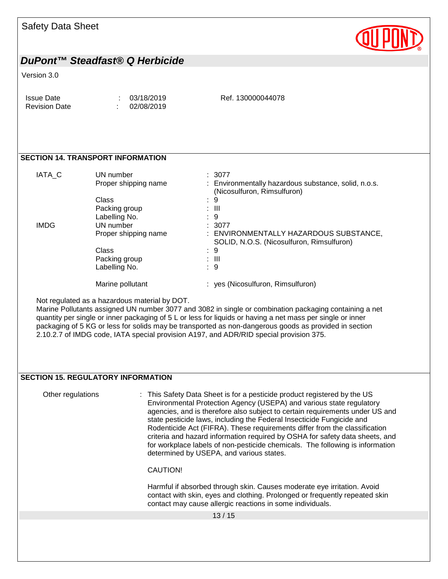

#### Version 3.0

**SECTION 14. TRANSPORT INFORMATION**

| IATA C      | UN number<br>Proper shipping name | : 3077<br>: Environmentally hazardous substance, solid, n.o.s.<br>(Nicosulfuron, Rimsulfuron) |
|-------------|-----------------------------------|-----------------------------------------------------------------------------------------------|
|             | Class<br>Packing group            | -9<br>÷.<br>: III                                                                             |
|             | Labelling No.                     | : 9                                                                                           |
| <b>IMDG</b> | UN number                         | : 3077                                                                                        |
|             | Proper shipping name              | : ENVIRONMENTALLY HAZARDOUS SUBSTANCE,<br>SOLID, N.O.S. (Nicosulfuron, Rimsulfuron)           |
|             | Class                             | $\therefore$ 9                                                                                |
|             | Packing group                     | : III                                                                                         |
|             | Labelling No.                     | : 9                                                                                           |
|             | Marine pollutant                  | yes (Nicosulfuron, Rimsulfuron)                                                               |

Not regulated as a hazardous material by DOT.

Marine Pollutants assigned UN number 3077 and 3082 in single or combination packaging containing a net quantity per single or inner packaging of 5 L or less for liquids or having a net mass per single or inner packaging of 5 KG or less for solids may be transported as non-dangerous goods as provided in section 2.10.2.7 of IMDG code, IATA special provision A197, and ADR/RID special provision 375.

#### **SECTION 15. REGULATORY INFORMATION**

13 / 15 Other regulations : This Safety Data Sheet is for a pesticide product registered by the US Environmental Protection Agency (USEPA) and various state regulatory agencies, and is therefore also subject to certain requirements under US and state pesticide laws, including the Federal Insecticide Fungicide and Rodenticide Act (FIFRA). These requirements differ from the classification criteria and hazard information required by OSHA for safety data sheets, and for workplace labels of non-pesticide chemicals. The following is information determined by USEPA, and various states. CAUTION! Harmful if absorbed through skin. Causes moderate eye irritation. Avoid contact with skin, eyes and clothing. Prolonged or frequently repeated skin contact may cause allergic reactions in some individuals.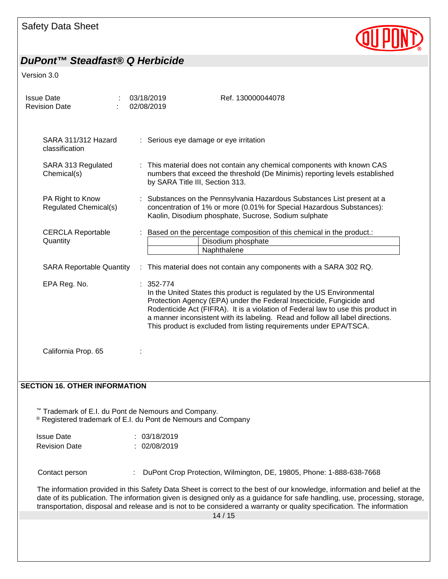

| <b>Issue Date</b><br><b>Revision Date</b>                                                                          | 03/18/2019<br>02/08/2019        | Ref. 130000044078                                                                                                                                                                                                                                                                                                                                                                          |
|--------------------------------------------------------------------------------------------------------------------|---------------------------------|--------------------------------------------------------------------------------------------------------------------------------------------------------------------------------------------------------------------------------------------------------------------------------------------------------------------------------------------------------------------------------------------|
| SARA 311/312 Hazard<br>classification                                                                              |                                 | : Serious eye damage or eye irritation                                                                                                                                                                                                                                                                                                                                                     |
| SARA 313 Regulated<br>Chemical(s)                                                                                  | by SARA Title III, Section 313. | : This material does not contain any chemical components with known CAS<br>numbers that exceed the threshold (De Minimis) reporting levels established                                                                                                                                                                                                                                     |
| PA Right to Know<br>Regulated Chemical(s)                                                                          |                                 | Substances on the Pennsylvania Hazardous Substances List present at a<br>concentration of 1% or more (0.01% for Special Hazardous Substances):<br>Kaolin, Disodium phosphate, Sucrose, Sodium sulphate                                                                                                                                                                                     |
| <b>CERCLA Reportable</b><br>Quantity                                                                               |                                 | : Based on the percentage composition of this chemical in the product.:<br>Disodium phosphate<br>Naphthalene                                                                                                                                                                                                                                                                               |
| <b>SARA Reportable Quantity</b>                                                                                    |                                 | : This material does not contain any components with a SARA 302 RQ.                                                                                                                                                                                                                                                                                                                        |
| EPA Reg. No.                                                                                                       | 352-774                         | In the United States this product is regulated by the US Environmental<br>Protection Agency (EPA) under the Federal Insecticide, Fungicide and<br>Rodenticide Act (FIFRA). It is a violation of Federal law to use this product in<br>a manner inconsistent with its labeling. Read and follow all label directions.<br>This product is excluded from listing requirements under EPA/TSCA. |
| California Prop. 65                                                                                                |                                 |                                                                                                                                                                                                                                                                                                                                                                                            |
| <b>SECTION 16. OTHER INFORMATION</b>                                                                               |                                 |                                                                                                                                                                                                                                                                                                                                                                                            |
| Trademark of E.I. du Pont de Nemours and Company.<br>® Registered trademark of E.I. du Pont de Nemours and Company |                                 |                                                                                                                                                                                                                                                                                                                                                                                            |
| <b>Issue Date</b>                                                                                                  | : 03/18/2019                    |                                                                                                                                                                                                                                                                                                                                                                                            |
| <b>Revision Date</b>                                                                                               | 02/08/2019                      |                                                                                                                                                                                                                                                                                                                                                                                            |
| Contact person                                                                                                     |                                 | DuPont Crop Protection, Wilmington, DE, 19805, Phone: 1-888-638-7668                                                                                                                                                                                                                                                                                                                       |
|                                                                                                                    |                                 | The information provided in this Safety Data Sheet is correct to the best of our knowledge, information and belief at the<br>date of its publication. The information given is designed only as a guidance for safe handling, use, processing, storage,<br>transportation, disposal and release and is not to be considered a warranty or quality specification. The information           |
|                                                                                                                    |                                 | 14/15                                                                                                                                                                                                                                                                                                                                                                                      |
|                                                                                                                    |                                 |                                                                                                                                                                                                                                                                                                                                                                                            |